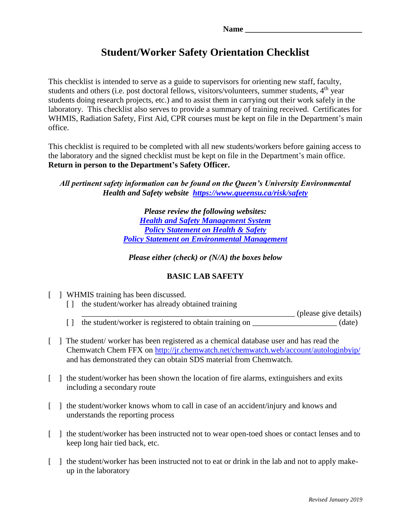# **Student/Worker Safety Orientation Checklist**

This checklist is intended to serve as a guide to supervisors for orienting new staff, faculty, students and others (i.e. post doctoral fellows, visitors/volunteers, summer students, 4<sup>th</sup> year students doing research projects, etc.) and to assist them in carrying out their work safely in the laboratory. This checklist also serves to provide a summary of training received. Certificates for WHMIS, Radiation Safety, First Aid, CPR courses must be kept on file in the Department's main office.

This checklist is required to be completed with all new students/workers before gaining access to the laboratory and the signed checklist must be kept on file in the Department's main office. **Return in person to the Department's Safety Officer.**

*All pertinent safety information can be found on the Queen's University Environmental Health and Safety website <https://www.queensu.ca/risk/safety>*

> *Please review the following websites: [Health and Safety Management System](https://www.queensu.ca/secretariat/policies/board-policies/health-and-safety-management-system) [Policy Statement on Health & Safety](https://www.queensu.ca/secretariat/policies/board-policies/policy-statement-health-and-safety) [Policy Statement on Environmental Management](https://www.queensu.ca/secretariat/policies/board-policies/policy-statement-environmental-management)*

*Please either (check) or (N/A) the boxes below*

## **BASIC LAB SAFETY**

- [ ] WHMIS training has been discussed. [ ] the student/worker has already obtained training \_\_\_\_\_\_\_\_\_\_\_\_\_\_\_\_\_\_\_\_\_\_\_\_\_\_\_\_\_\_\_\_\_\_\_\_\_\_\_\_\_\_\_\_\_\_\_\_\_\_\_\_\_ (please give details)
	- $\lceil \cdot \rceil$  the student/worker is registered to obtain training on  $\qquad \qquad$  (date)
- [ ] The student/ worker has been registered as a chemical database user and has read the Chemwatch Chem FFX on<http://jr.chemwatch.net/chemwatch.web/account/autologinbyip/> and has demonstrated they can obtain SDS material from Chemwatch.
- [ ] the student/worker has been shown the location of fire alarms, extinguishers and exits including a secondary route
- [ ] the student/worker knows whom to call in case of an accident/injury and knows and understands the reporting process
- [ ] the student/worker has been instructed not to wear open-toed shoes or contact lenses and to keep long hair tied back, etc.
- [ ] the student/worker has been instructed not to eat or drink in the lab and not to apply makeup in the laboratory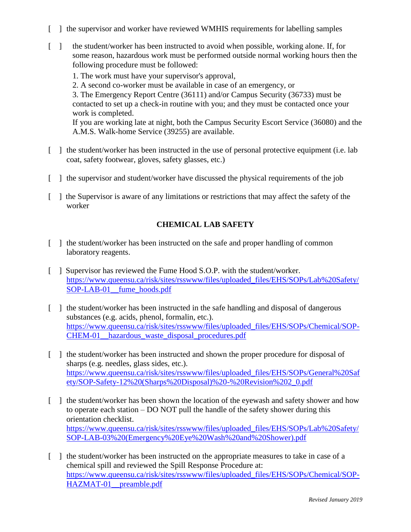- [ ] the supervisor and worker have reviewed WMHIS requirements for labelling samples
- [ ] the student/worker has been instructed to avoid when possible, working alone. If, for some reason, hazardous work must be performed outside normal working hours then the following procedure must be followed:
	- 1. The work must have your supervisor's approval,
	- 2. A second co-worker must be available in case of an emergency, or

3. The Emergency Report Centre (36111) and/or Campus Security (36733) must be contacted to set up a check-in routine with you; and they must be contacted once your work is completed.

If you are working late at night, both the Campus Security Escort Service (36080) and the A.M.S. Walk-home Service (39255) are available.

- [ ] the student/worker has been instructed in the use of personal protective equipment (i.e. lab coat, safety footwear, gloves, safety glasses, etc.)
- [ ] the supervisor and student/worker have discussed the physical requirements of the job
- [ ] the Supervisor is aware of any limitations or restrictions that may affect the safety of the worker

#### **CHEMICAL LAB SAFETY**

- [ ] the student/worker has been instructed on the safe and proper handling of common laboratory reagents.
- [ ] Supervisor has reviewed the Fume Hood S.O.P. with the student/worker. [https://www.queensu.ca/risk/sites/rsswww/files/uploaded\\_files/EHS/SOPs/Lab%20Safety/](https://www.queensu.ca/risk/sites/rsswww/files/uploaded_files/EHS/SOPs/Lab%20Safety/SOP-LAB-01__fume_hoods.pdf) SOP-LAB-01 fume hoods.pdf
- [ ] the student/worker has been instructed in the safe handling and disposal of dangerous substances (e.g. acids, phenol, formalin, etc.). [https://www.queensu.ca/risk/sites/rsswww/files/uploaded\\_files/EHS/SOPs/Chemical/SOP-](https://www.queensu.ca/risk/sites/rsswww/files/uploaded_files/EHS/SOPs/Chemical/SOP-CHEM-01__hazardous_waste_disposal_procedures.pdf)[CHEM-01\\_\\_hazardous\\_waste\\_disposal\\_procedures.pdf](https://www.queensu.ca/risk/sites/rsswww/files/uploaded_files/EHS/SOPs/Chemical/SOP-CHEM-01__hazardous_waste_disposal_procedures.pdf)
- [ ] the student/worker has been instructed and shown the proper procedure for disposal of sharps (e.g. needles, glass sides, etc.). [https://www.queensu.ca/risk/sites/rsswww/files/uploaded\\_files/EHS/SOPs/General%20Saf](https://www.queensu.ca/risk/sites/rsswww/files/uploaded_files/EHS/SOPs/General%20Safety/SOP-Safety-12%20(Sharps%20Disposal)%20-%20Revision%202_0.pdf) [ety/SOP-Safety-12%20\(Sharps%20Disposal\)%20-%20Revision%202\\_0.pdf](https://www.queensu.ca/risk/sites/rsswww/files/uploaded_files/EHS/SOPs/General%20Safety/SOP-Safety-12%20(Sharps%20Disposal)%20-%20Revision%202_0.pdf)
- [ ] the student/worker has been shown the location of the eyewash and safety shower and how to operate each station – DO NOT pull the handle of the safety shower during this orientation checklist. [https://www.queensu.ca/risk/sites/rsswww/files/uploaded\\_files/EHS/SOPs/Lab%20Safety/](https://www.queensu.ca/risk/sites/rsswww/files/uploaded_files/EHS/SOPs/Lab%20Safety/SOP-LAB-03%20(Emergency%20Eye%20Wash%20and%20Shower).pdf) [SOP-LAB-03%20\(Emergency%20Eye%20Wash%20and%20Shower\).pdf](https://www.queensu.ca/risk/sites/rsswww/files/uploaded_files/EHS/SOPs/Lab%20Safety/SOP-LAB-03%20(Emergency%20Eye%20Wash%20and%20Shower).pdf)
- [ ] the student/worker has been instructed on the appropriate measures to take in case of a chemical spill and reviewed the Spill Response Procedure at: [https://www.queensu.ca/risk/sites/rsswww/files/uploaded\\_files/EHS/SOPs/Chemical/SOP-](https://www.queensu.ca/risk/sites/rsswww/files/uploaded_files/EHS/SOPs/Chemical/SOP-HAZMAT-01__preamble.pdf)[HAZMAT-01\\_\\_preamble.pdf](https://www.queensu.ca/risk/sites/rsswww/files/uploaded_files/EHS/SOPs/Chemical/SOP-HAZMAT-01__preamble.pdf)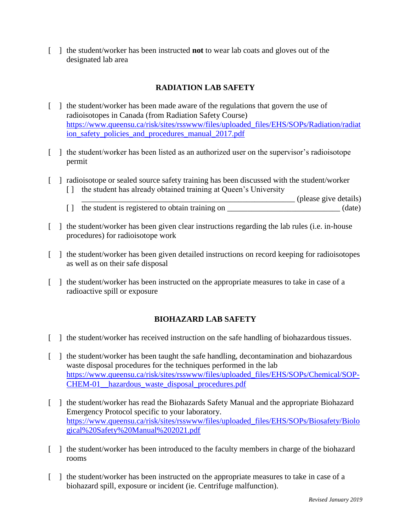[ ] the student/worker has been instructed **not** to wear lab coats and gloves out of the designated lab area

## **RADIATION LAB SAFETY**

- [ ] the student/worker has been made aware of the regulations that govern the use of radioisotopes in Canada (from Radiation Safety Course) [https://www.queensu.ca/risk/sites/rsswww/files/uploaded\\_files/EHS/SOPs/Radiation/radiat](https://www.queensu.ca/risk/sites/rsswww/files/uploaded_files/EHS/SOPs/Radiation/radiation_safety_policies_and_procedures_manual_2017.pdf) [ion\\_safety\\_policies\\_and\\_procedures\\_manual\\_2017.pdf](https://www.queensu.ca/risk/sites/rsswww/files/uploaded_files/EHS/SOPs/Radiation/radiation_safety_policies_and_procedures_manual_2017.pdf)
- [ ] the student/worker has been listed as an authorized user on the supervisor's radioisotope permit
- [ ] radioisotope or sealed source safety training has been discussed with the student/worker [] the student has already obtained training at Queen's University
	- \_\_\_\_\_\_\_\_\_\_\_\_\_\_\_\_\_\_\_\_\_\_\_\_\_\_\_\_\_\_\_\_\_\_\_\_\_\_\_\_\_\_\_\_\_\_\_\_\_\_\_\_\_ (please give details) [] the student is registered to obtain training on \_\_\_\_\_\_\_\_\_\_\_\_\_\_\_\_\_\_\_\_\_\_\_\_\_\_\_\_\_ (date)
- [ ] the student/worker has been given clear instructions regarding the lab rules (i.e. in-house procedures) for radioisotope work
- [ ] the student/worker has been given detailed instructions on record keeping for radioisotopes as well as on their safe disposal
- [ ] the student/worker has been instructed on the appropriate measures to take in case of a radioactive spill or exposure

## **BIOHAZARD LAB SAFETY**

- [ ] the student/worker has received instruction on the safe handling of biohazardous tissues.
- [ ] the student/worker has been taught the safe handling, decontamination and biohazardous waste disposal procedures for the techniques performed in the lab [https://www.queensu.ca/risk/sites/rsswww/files/uploaded\\_files/EHS/SOPs/Chemical/SOP-](https://www.queensu.ca/risk/sites/rsswww/files/uploaded_files/EHS/SOPs/Chemical/SOP-CHEM-01__hazardous_waste_disposal_procedures.pdf)[CHEM-01\\_\\_hazardous\\_waste\\_disposal\\_procedures.pdf](https://www.queensu.ca/risk/sites/rsswww/files/uploaded_files/EHS/SOPs/Chemical/SOP-CHEM-01__hazardous_waste_disposal_procedures.pdf)
- [ ] the student/worker has read the Biohazards Safety Manual and the appropriate Biohazard Emergency Protocol specific to your laboratory. [https://www.queensu.ca/risk/sites/rsswww/files/uploaded\\_files/EHS/SOPs/Biosafety/Biolo](https://www.queensu.ca/risk/sites/rsswww/files/uploaded_files/EHS/SOPs/Biosafety/Biological%20Safety%20Manual%202021.pdf) [gical%20Safety%20Manual%202021.pdf](https://www.queensu.ca/risk/sites/rsswww/files/uploaded_files/EHS/SOPs/Biosafety/Biological%20Safety%20Manual%202021.pdf)
- [ ] the student/worker has been introduced to the faculty members in charge of the biohazard rooms
- [ ] the student/worker has been instructed on the appropriate measures to take in case of a biohazard spill, exposure or incident (ie. Centrifuge malfunction).